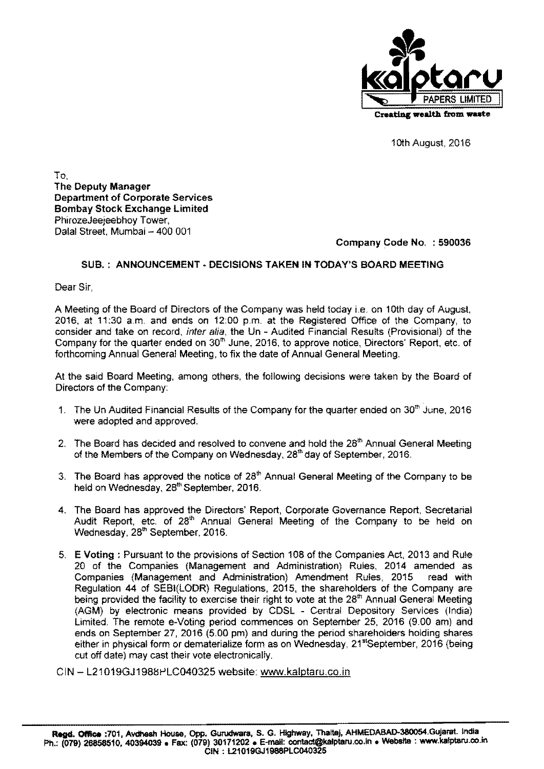

1Oth August, 2016

To, The Deputy Manager Department of Corporate Services Bombay Stock Exchange Limited PhirozeJeejeebhoy Tower, Dalal Street, Mumbai - 400 001

### Company Code No, : 590036

### SUB, : ANNOUNCEMENT· DECISIONS TAKEN IN TODAY'S BOARD MEETING

Dear Sir

A Meeting of the Board of Directors of the Company was held today ie, on 10th day of August, 2016, at 11:30 a,m, and ends on 12:00 p,m, at the Registered Office of the Company, to consider and take on record, inter alia, the Un - Audited Financial Results (Provisional) of the Company for the quarter ended on 30<sup>th</sup> June, 2016, to approve notice, Directors' Report, etc. of forthcoming Annual General Meeting, to fix the date of Annual General Meeting.

At the said Board Meeting, among others, the following decisions were taken by the Board of Directors of the Company:

- 1. The Un Audited Financial Results of the Company for the quarter ended on 30<sup>th</sup> June, 2016 were adopted and approved.
- 2. The Board has decided and resolved to convene and hold the  $28<sup>th</sup>$  Annual General Meeting of the Members of the Company on Wednesday, 28'" day of September, 2016,
- 3. The Board has approved the notice of  $28<sup>th</sup>$  Annual General Meeting of the Company to be held on Wednesday, 28'" September, 2016.
- 4. The Board has approved the Directors' Report, Corporate Governance Report, Secretarial Audit Report, etc. of 28'" Annual General Meeting of the Company to be held on Wednesday, 28<sup>th</sup> September, 2016.
- 5. E Voting: Pursuant to the provisions of Section 108 of the Companies Act, 2013 and Rule 20 of the Companies (Management and Administration) Rules, 2014 amended as Companies (Management and Administration) Amendment Rules, 2015 read with Regulation 44 of SEBI(LODR) Regulations, 2015, the shareholders of the Company are being provided the facility to exercise their right to vote at the 28<sup>th</sup> Annual General Meeting (AGM) by electronic means provided by CDSL . Central Depository Services (India) Limited. The remote e-Voting period commences on September 25, 2016 (9,00 am) and ends on September 27,2016 (5,00 pm) and during the period shareholders holding shares either in physical form or dematerialize form as on Wednesday, 21<sup>st</sup>September, 2016 (being cut off date) may cast their vote electronically.

CIN - L21019GJ1988PLC040325 website: www.kalptaru.co.in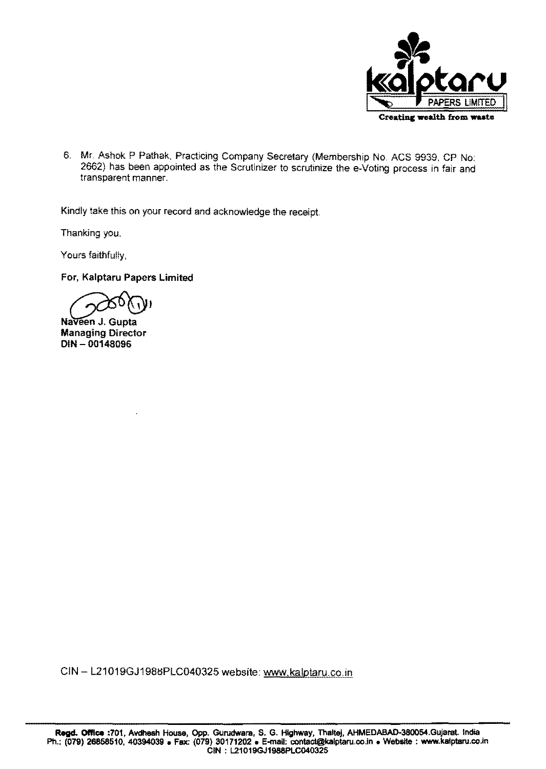

6. Mr. Ashok P Pathak, Practicing Company Secretary (Membership No. ACS 9939. CP No: 2662) has been appointed as the Scrutinizer to scrutinize the e-Voting process in fair and transparent manner.

Kindly take this on your record and acknowledge the receipt

Thanking you.

Yours faithfully,

For, Kalptaru Papers Limited

Naveen J. Gupta

Managing Director DIN - 00148096

CIN - L21019GJ1988PLC040325 website: www.kalptaru.co.in